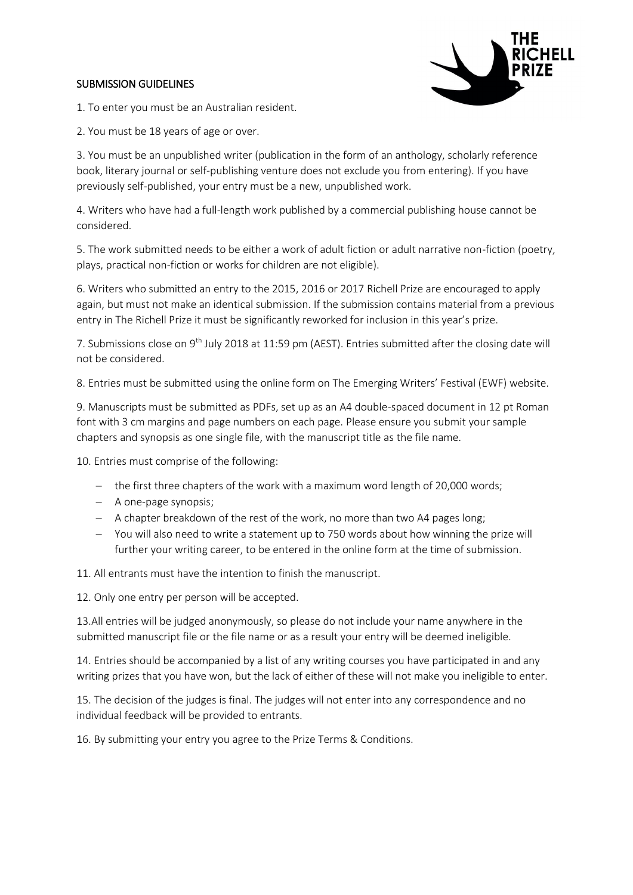## SUBMISSION GUIDELINES



1. To enter you must be an Australian resident.

2. You must be 18 years of age or over.

3. You must be an unpublished writer (publication in the form of an anthology, scholarly reference book, literary journal or self-publishing venture does not exclude you from entering). If you have previously self-published, your entry must be a new, unpublished work.

4. Writers who have had a full-length work published by a commercial publishing house cannot be considered.

5. The work submitted needs to be either a work of adult fiction or adult narrative non-fiction (poetry, plays, practical non-fiction or works for children are not eligible).

6. Writers who submitted an entry to the 2015, 2016 or 2017 Richell Prize are encouraged to apply again, but must not make an identical submission. If the submission contains material from a previous entry in The Richell Prize it must be significantly reworked for inclusion in this year's prize.

7. Submissions close on 9<sup>th</sup> July 2018 at 11:59 pm (AEST). Entries submitted after the closing date will not be considered.

8. Entries must be submitted using the online form on The Emerging Writers' Festival (EWF) website.

9. Manuscripts must be submitted as PDFs, set up as an A4 double-spaced document in 12 pt Roman font with 3 cm margins and page numbers on each page. Please ensure you submit your sample chapters and synopsis as one single file, with the manuscript title as the file name.

10. Entries must comprise of the following:

- the first three chapters of the work with a maximum word length of 20,000 words;
- A one-page synopsis;
- A chapter breakdown of the rest of the work, no more than two A4 pages long;
- You will also need to write a statement up to 750 words about how winning the prize will further your writing career, to be entered in the online form at the time of submission.

11. All entrants must have the intention to finish the manuscript.

12. Only one entry per person will be accepted.

13.All entries will be judged anonymously, so please do not include your name anywhere in the submitted manuscript file or the file name or as a result your entry will be deemed ineligible.

14. Entries should be accompanied by a list of any writing courses you have participated in and any writing prizes that you have won, but the lack of either of these will not make you ineligible to enter.

15. The decision of the judges is final. The judges will not enter into any correspondence and no individual feedback will be provided to entrants.

16. By submitting your entry you agree to the Prize Terms & Conditions.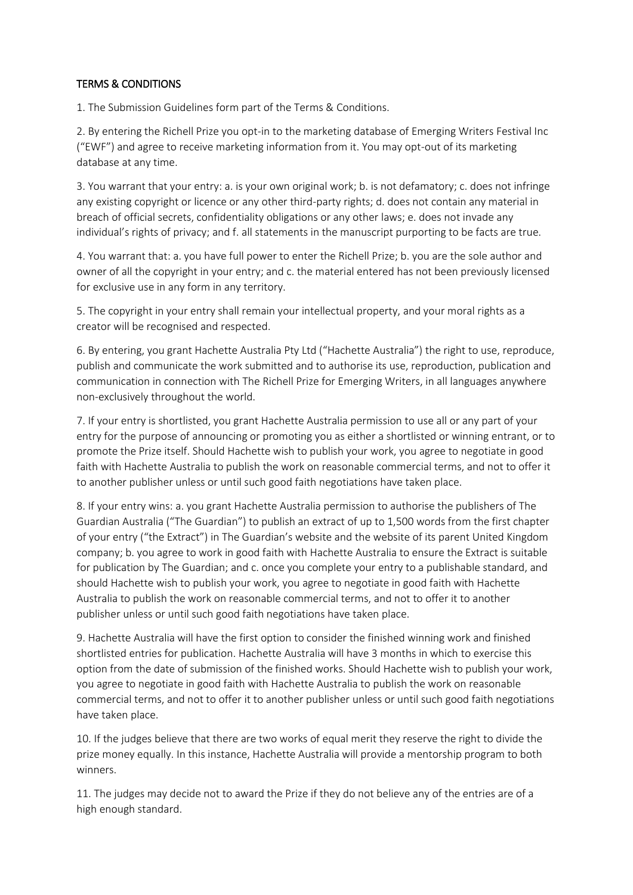## TERMS & CONDITIONS

1. The Submission Guidelines form part of the Terms & Conditions.

2. By entering the Richell Prize you opt-in to the marketing database of Emerging Writers Festival Inc ("EWF") and agree to receive marketing information from it. You may opt-out of its marketing database at any time.

3. You warrant that your entry: a. is your own original work; b. is not defamatory; c. does not infringe any existing copyright or licence or any other third-party rights; d. does not contain any material in breach of official secrets, confidentiality obligations or any other laws; e. does not invade any individual's rights of privacy; and f. all statements in the manuscript purporting to be facts are true.

4. You warrant that: a. you have full power to enter the Richell Prize; b. you are the sole author and owner of all the copyright in your entry; and c. the material entered has not been previously licensed for exclusive use in any form in any territory.

5. The copyright in your entry shall remain your intellectual property, and your moral rights as a creator will be recognised and respected.

6. By entering, you grant Hachette Australia Pty Ltd ("Hachette Australia") the right to use, reproduce, publish and communicate the work submitted and to authorise its use, reproduction, publication and communication in connection with The Richell Prize for Emerging Writers, in all languages anywhere non-exclusively throughout the world.

7. If your entry is shortlisted, you grant Hachette Australia permission to use all or any part of your entry for the purpose of announcing or promoting you as either a shortlisted or winning entrant, or to promote the Prize itself. Should Hachette wish to publish your work, you agree to negotiate in good faith with Hachette Australia to publish the work on reasonable commercial terms, and not to offer it to another publisher unless or until such good faith negotiations have taken place.

8. If your entry wins: a. you grant Hachette Australia permission to authorise the publishers of The Guardian Australia ("The Guardian") to publish an extract of up to 1,500 words from the first chapter of your entry ("the Extract") in The Guardian's website and the website of its parent United Kingdom company; b. you agree to work in good faith with Hachette Australia to ensure the Extract is suitable for publication by The Guardian; and c. once you complete your entry to a publishable standard, and should Hachette wish to publish your work, you agree to negotiate in good faith with Hachette Australia to publish the work on reasonable commercial terms, and not to offer it to another publisher unless or until such good faith negotiations have taken place.

9. Hachette Australia will have the first option to consider the finished winning work and finished shortlisted entries for publication. Hachette Australia will have 3 months in which to exercise this option from the date of submission of the finished works. Should Hachette wish to publish your work, you agree to negotiate in good faith with Hachette Australia to publish the work on reasonable commercial terms, and not to offer it to another publisher unless or until such good faith negotiations have taken place.

10. If the judges believe that there are two works of equal merit they reserve the right to divide the prize money equally. In this instance, Hachette Australia will provide a mentorship program to both winners.

11. The judges may decide not to award the Prize if they do not believe any of the entries are of a high enough standard.